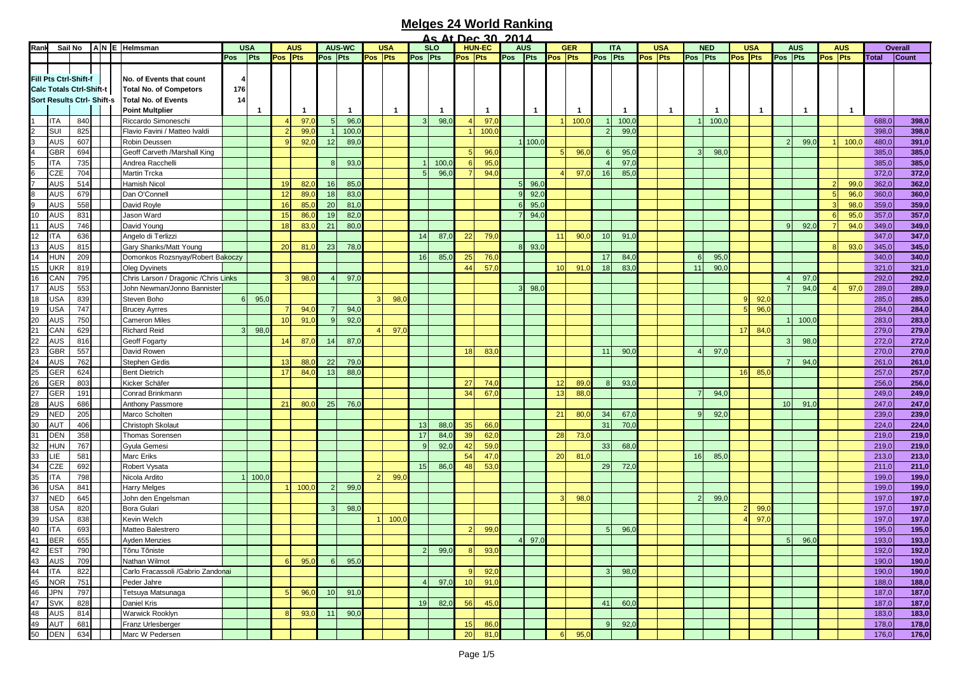|        |                                 |     |                                   |                                       |     |              |              |            |                 |                  |         |              |                |            | <u>As At Dec 30 2014</u> |                 |                |              |                 |                 |                 |              |         |            |                |                 |                 |                 |         |                  |         |            |              |         |
|--------|---------------------------------|-----|-----------------------------------|---------------------------------------|-----|--------------|--------------|------------|-----------------|------------------|---------|--------------|----------------|------------|--------------------------|-----------------|----------------|--------------|-----------------|-----------------|-----------------|--------------|---------|------------|----------------|-----------------|-----------------|-----------------|---------|------------------|---------|------------|--------------|---------|
| Rank   | Sail No                         |     |                                   | ANE Helmsman                          |     | <b>USA</b>   |              | <b>AUS</b> |                 | <b>AUS-WC</b>    |         | <b>USA</b>   |                | <b>SLO</b> |                          | <b>HUN-EC</b>   |                | <b>AUS</b>   |                 | <b>GER</b>      |                 | <b>ITA</b>   |         | <b>USA</b> |                | <b>NED</b>      |                 | <b>USA</b>      |         | <b>AUS</b>       |         | <b>AUS</b> |              | Overall |
|        |                                 |     |                                   |                                       | Pos | Pts          | Pos Pts      |            | Pos Pts         |                  | Pos Pts |              | Pos Pts        |            | Pos Pts                  |                 | Pos Pts        |              | Pos Pts         |                 | Pos Pts         |              | Pos Pts |            | Pos Pts        |                 | Pos Pts         |                 | Pos Pts |                  | Pos Pts |            | <b>Total</b> | Count   |
|        |                                 |     |                                   |                                       |     |              |              |            |                 |                  |         |              |                |            |                          |                 |                |              |                 |                 |                 |              |         |            |                |                 |                 |                 |         |                  |         |            |              |         |
|        | Fill Pts Ctrl-Shift-f           |     |                                   | No. of Events that count              |     |              |              |            |                 |                  |         |              |                |            |                          |                 |                |              |                 |                 |                 |              |         |            |                |                 |                 |                 |         |                  |         |            |              |         |
|        | <b>Calc Totals Ctrl-Shift-t</b> |     |                                   | <b>Total No. of Competors</b>         | 176 |              |              |            |                 |                  |         |              |                |            |                          |                 |                |              |                 |                 |                 |              |         |            |                |                 |                 |                 |         |                  |         |            |              |         |
|        |                                 |     | <b>Sort Results Ctrl- Shift-s</b> | <b>Total No. of Events</b>            | 14  |              |              |            |                 |                  |         |              |                |            |                          |                 |                |              |                 |                 |                 |              |         |            |                |                 |                 |                 |         |                  |         |            |              |         |
|        |                                 |     |                                   |                                       |     |              |              |            |                 |                  |         |              |                |            |                          |                 |                |              |                 |                 |                 |              |         |            |                |                 |                 |                 |         |                  |         |            |              |         |
|        |                                 |     |                                   | <b>Point Multplier</b>                |     | -1           |              | -1         |                 | $\overline{1}$   |         | $\mathbf{1}$ |                |            |                          | -1              |                | $\mathbf{1}$ |                 | -1              |                 | $\mathbf{1}$ |         | -1         |                | -1              |                 | 1               |         | 1                |         | -1         |              |         |
|        | <b>ITA</b>                      | 840 |                                   | Riccardo Simoneschi                   |     |              |              | 97.        |                 | 96,0             |         |              | $\mathbf{3}$   | 98,0       | $\overline{4}$           | 97 <sub>1</sub> |                |              |                 | 100,            |                 | 100,         |         |            |                | 100,0           |                 |                 |         |                  |         |            | 688,0        | 398,0   |
|        | SUI                             | 825 |                                   | Flavio Favini / Matteo Ivaldi         |     |              |              | 99,0       |                 | 100 <sub>1</sub> |         |              |                |            | $\mathbf{1}$             | 100,            |                |              |                 |                 |                 | 99,0         |         |            |                |                 |                 |                 |         |                  |         |            | 398,0        | 398,0   |
|        | <b>AUS</b>                      | 607 |                                   | Robin Deussen                         |     |              |              | 92,0       | 12              | 89,0             |         |              |                |            |                          |                 |                | 1 100,0      |                 |                 |                 |              |         |            |                |                 |                 |                 |         | 99,0             |         | 100,0      | 480,0        | 391,0   |
|        |                                 |     |                                   |                                       |     |              |              |            |                 |                  |         |              |                |            |                          |                 |                |              |                 |                 |                 |              |         |            |                |                 |                 |                 |         |                  |         |            |              |         |
|        | <b>GBR</b>                      | 694 |                                   | Geoff Carveth /Marshall King          |     |              |              |            |                 |                  |         |              |                |            |                          | 96,             |                |              |                 | 96,             |                 | 95,          |         |            |                | 98,0            |                 |                 |         |                  |         |            | 385,0        | 385,0   |
|        | <b>ITA</b>                      | 735 |                                   | Andrea Racchelli                      |     |              |              |            |                 | 93,0             |         |              |                | 100,0      |                          | 95,             |                |              |                 |                 |                 | 97,          |         |            |                |                 |                 |                 |         |                  |         |            | 385,0        | 385,0   |
|        | CZE                             | 704 |                                   | Martin Trcka                          |     |              |              |            |                 |                  |         |              | 5              | 96,0       | 7                        | 94,             |                |              |                 | 97,             | 16              | 85,          |         |            |                |                 |                 |                 |         |                  |         |            | 372,0        | 372,0   |
|        | <b>AUS</b>                      | 514 |                                   | Hamish Nicol                          |     |              | 19           | 82,        | 16              | 85,0             |         |              |                |            |                          |                 | 5 <sup>1</sup> | 96,          |                 |                 |                 |              |         |            |                |                 |                 |                 |         |                  |         | 99,0       | 362,0        | 362,0   |
|        | <b>AUS</b>                      | 679 |                                   | Dan O'Connell                         |     |              | 12           | 89,        | 18              | 83,0             |         |              |                |            |                          |                 | $\vert$ 9      | 92,0         |                 |                 |                 |              |         |            |                |                 |                 |                 |         |                  |         | 96,0       | 360,0        | 360,0   |
|        |                                 |     |                                   |                                       |     |              |              |            |                 |                  |         |              |                |            |                          |                 |                |              |                 |                 |                 |              |         |            |                |                 |                 |                 |         |                  |         |            |              |         |
|        | <b>AUS</b>                      | 558 |                                   | David Royle                           |     |              | 16           | 85,0       | 20              | 81,0             |         |              |                |            |                          |                 | 6              | 95,0         |                 |                 |                 |              |         |            |                |                 |                 |                 |         |                  |         | 98,0       | 359,0        | 359,0   |
| 10     | <b>AUS</b>                      | 831 |                                   | Jason Ward                            |     |              | 15           | 86,        | 19              | 82,0             |         |              |                |            |                          |                 | $\overline{7}$ | 94,0         |                 |                 |                 |              |         |            |                |                 |                 |                 |         |                  |         | 95,0       | 357,0        | 357,0   |
| 11     | <b>AUS</b>                      | 746 |                                   | David Young                           |     |              | 18           | 83,0       | 21              | 80,0             |         |              |                |            |                          |                 |                |              |                 |                 |                 |              |         |            |                |                 |                 |                 |         | 92,0             |         | 94,0       | 349,0        | 349,0   |
| 12     | <b>ITA</b>                      | 636 |                                   | Angelo di Terlizzi                    |     |              |              |            |                 |                  |         |              | 14             | 87(        | 22                       | 79,0            |                |              | 11              | 90 <sub>0</sub> | 10 <sup>1</sup> | 91,          |         |            |                |                 |                 |                 |         |                  |         |            | 347,0        | 347,0   |
| 13     | <b>AUS</b>                      | 815 |                                   | Gary Shanks/Matt Young                |     |              | 20           | 81.        | 23              | 78,0             |         |              |                |            |                          |                 |                | $8 \ 93,0$   |                 |                 |                 |              |         |            |                |                 |                 |                 |         |                  |         | 93,0       | 345,0        | 345,0   |
|        |                                 |     |                                   |                                       |     |              |              |            |                 |                  |         |              |                |            |                          |                 |                |              |                 |                 |                 |              |         |            |                |                 |                 |                 |         |                  |         |            |              |         |
| 14     | <b>HUN</b>                      | 209 |                                   | Domonkos Rozsnyay/Robert Bakoczy      |     |              |              |            |                 |                  |         |              | 16             | 85,0       | 25                       | 76,             |                |              |                 |                 | 17              | 84,          |         |            | 6              | 95,0            |                 |                 |         |                  |         |            | 340,0        | 340,0   |
| 15     | <b>UKR</b>                      | 819 |                                   | <b>Oleg Dyvinets</b>                  |     |              |              |            |                 |                  |         |              |                |            | 44                       | 57 <sub>0</sub> |                |              | 10 <sup>1</sup> | 91 <sub>1</sub> | 18              | 83,0         |         |            | 11             | 90(             |                 |                 |         |                  |         |            | 321,0        | 321,0   |
| 16     | CAN                             | 795 |                                   | Chris Larson / Dragonic / Chris Links |     |              |              | 98,        |                 | 97,0             |         |              |                |            |                          |                 |                |              |                 |                 |                 |              |         |            |                |                 |                 |                 |         | 97,0             |         |            | 292,0        | 292,0   |
| 17     | <b>AUS</b>                      | 553 |                                   | John Newman/Jonno Bannister           |     |              |              |            |                 |                  |         |              |                |            |                          |                 |                | 98,          |                 |                 |                 |              |         |            |                |                 |                 |                 |         | 94,0             |         | 97,0       | 289,0        | 289,0   |
|        |                                 |     |                                   |                                       |     |              |              |            |                 |                  |         |              |                |            |                          |                 |                |              |                 |                 |                 |              |         |            |                |                 | q               |                 |         |                  |         |            |              |         |
| 18     | <b>USA</b>                      | 839 |                                   | Steven Boho                           | 6   | 95,0         |              |            |                 |                  |         | 98.          |                |            |                          |                 |                |              |                 |                 |                 |              |         |            |                |                 |                 | 92,             |         |                  |         |            | 285,0        | 285,0   |
| 19     | <b>USA</b>                      | 747 |                                   | <b>Brucey Ayrres</b>                  |     |              | <b>7</b>     | 94.        |                 | 94,0             |         |              |                |            |                          |                 |                |              |                 |                 |                 |              |         |            |                |                 | 5               | 96,0            |         |                  |         |            | 284,0        | 284,0   |
| 20     | <b>AUS</b>                      | 750 |                                   | <b>Cameron Miles</b>                  |     |              | 10           | 91(        | $\alpha$        | 92,0             |         |              |                |            |                          |                 |                |              |                 |                 |                 |              |         |            |                |                 |                 |                 |         | 100 <sub>1</sub> |         |            | 283,0        | 283,0   |
| 21     | CAN                             | 629 |                                   | <b>Richard Reid</b>                   | 3   | 98,0         |              |            |                 |                  |         | 97.          |                |            |                          |                 |                |              |                 |                 |                 |              |         |            |                |                 | 17 <sup>1</sup> | 84,0            |         |                  |         |            | 279,0        | 279,0   |
| 22     | <b>AUS</b>                      | 816 |                                   | Geoff Fogarty                         |     |              | 14           | 87,        | 14              | 87,0             |         |              |                |            |                          |                 |                |              |                 |                 |                 |              |         |            |                |                 |                 |                 |         | 98,0             |         |            | 272,0        | 272,0   |
|        |                                 |     |                                   |                                       |     |              |              |            |                 |                  |         |              |                |            |                          |                 |                |              |                 |                 |                 |              |         |            |                |                 |                 |                 |         |                  |         |            |              |         |
| 23     | <b>GBR</b>                      | 557 |                                   | David Rowen                           |     |              |              |            |                 |                  |         |              |                |            | 18                       | 83,0            |                |              |                 |                 | 11              | 90,          |         |            |                | 97.C            |                 |                 |         |                  |         |            | 270,0        | 270,0   |
| 24     | <b>AUS</b>                      | 762 |                                   | Stephen Girdis                        |     |              | 13           | 88,        | 22              | 79,0             |         |              |                |            |                          |                 |                |              |                 |                 |                 |              |         |            |                |                 |                 |                 |         | 94,0             |         |            | 261,0        | 261,0   |
| 25     | GER                             | 624 |                                   | <b>Bent Dietrich</b>                  |     |              | 17           | 84.        | 13              | 88,0             |         |              |                |            |                          |                 |                |              |                 |                 |                 |              |         |            |                |                 | 16 <sup>1</sup> | 85,0            |         |                  |         |            | 257,0        | 257,0   |
| 26     | <b>GER</b>                      | 803 |                                   | Kicker Schäfer                        |     |              |              |            |                 |                  |         |              |                |            | 27                       | 74.0            |                |              |                 | 89,0            |                 | 93,0         |         |            |                |                 |                 |                 |         |                  |         |            | 256,0        | 256,0   |
|        | GER                             | 191 |                                   | Conrad Brinkmann                      |     |              |              |            |                 |                  |         |              |                |            | 34                       | 67,0            |                |              | 13              | 88,0            |                 |              |         |            | $\overline{7}$ | 94,0            |                 |                 |         |                  |         |            | 249,0        | 249,0   |
| 27     |                                 |     |                                   |                                       |     |              |              |            |                 |                  |         |              |                |            |                          |                 |                |              |                 |                 |                 |              |         |            |                |                 |                 |                 |         |                  |         |            |              |         |
| 28     | <b>AUS</b>                      | 686 |                                   | Anthony Passmore                      |     |              | 21           | 80,        | 25              | 76,0             |         |              |                |            |                          |                 |                |              |                 |                 |                 |              |         |            |                |                 |                 |                 | 10      | 91,0             |         |            | 247,0        | 247,0   |
| 29     | <b>NED</b>                      | 205 |                                   | Marco Scholten                        |     |              |              |            |                 |                  |         |              |                |            |                          |                 |                |              | 21              | 80,             | 34              | 67,          |         |            | $\mathbf{Q}$   | 92,0            |                 |                 |         |                  |         |            | 239,0        | 239,0   |
| 30     | <b>AUT</b>                      | 406 |                                   | Christoph Skolaut                     |     |              |              |            |                 |                  |         |              | 13             | 88,0       | 35                       | 66,             |                |              |                 |                 | 31              | 70,0         |         |            |                |                 |                 |                 |         |                  |         |            | 224,0        | 224,0   |
| 31     | <b>DEN</b>                      | 358 |                                   | Thomas Sorensen                       |     |              |              |            |                 |                  |         |              | 17             | 84,        | 39                       | 62,0            |                |              | 28              | 73(             |                 |              |         |            |                |                 |                 |                 |         |                  |         |            | 219,0        | 219,0   |
|        |                                 | 767 |                                   |                                       |     |              |              |            |                 |                  |         |              | 9              | 92,        | 42                       | 59(             |                |              |                 |                 | 33              |              |         |            |                |                 |                 |                 |         |                  |         |            | 219,0        | 219,0   |
| 32     | <b>HUN</b>                      |     |                                   | Gyula Gemesi                          |     |              |              |            |                 |                  |         |              |                |            |                          |                 |                |              |                 |                 |                 | 68,          |         |            |                |                 |                 |                 |         |                  |         |            |              |         |
| 33     | <b>LIE</b>                      | 581 |                                   | <b>Marc Eriks</b>                     |     |              |              |            |                 |                  |         |              |                |            | 54                       | 47,             |                |              | 20              | 81(             |                 |              |         |            | 16             | 85,             |                 |                 |         |                  |         |            | 213,0        | 213,0   |
| 34     | CZE                             | 692 |                                   | Robert Vysata                         |     |              |              |            |                 |                  |         |              | 15             | 86,0       | 48                       | 53,0            |                |              |                 |                 | 29              | 72,          |         |            |                |                 |                 |                 |         |                  |         |            | 211,0        | 211,0   |
| 35     | <b>ITA</b>                      | 798 |                                   | Nicola Ardito                         |     | $1 \, 100$ , |              |            |                 |                  |         | 99,          |                |            |                          |                 |                |              |                 |                 |                 |              |         |            |                |                 |                 |                 |         |                  |         |            | 199,0        | 199,0   |
| 36     | <b>USA</b>                      | 841 |                                   | <b>Harry Melges</b>                   |     |              |              | 100,       |                 | 99,0             |         |              |                |            |                          |                 |                |              |                 |                 |                 |              |         |            |                |                 |                 |                 |         |                  |         |            | 199,0        | 199,0   |
|        | <b>NED</b>                      |     |                                   |                                       |     |              |              |            |                 |                  |         |              |                |            |                          |                 |                |              |                 |                 |                 |              |         |            | $\overline{2}$ |                 |                 |                 |         |                  |         |            |              |         |
| 37     |                                 | 645 |                                   | John den Engelsman                    |     |              |              |            |                 |                  |         |              |                |            |                          |                 |                |              |                 | 98(             |                 |              |         |            |                | 99 <sub>1</sub> |                 |                 |         |                  |         |            | 197,0        | 197,0   |
| 38     | <b>USA</b>                      | 820 |                                   | Bora Gulari                           |     |              |              |            |                 | 98,0             |         |              |                |            |                          |                 |                |              |                 |                 |                 |              |         |            |                |                 |                 | 99,             |         |                  |         |            | 197,0        | 197,0   |
| 39     | <b>USA</b>                      | 838 |                                   | Kevin Welch                           |     |              |              |            |                 |                  |         | 100.         |                |            |                          |                 |                |              |                 |                 |                 |              |         |            |                |                 |                 | 97 <sub>0</sub> |         |                  |         |            | 197,0        | 197,0   |
| 40     | <b>ITA</b>                      | 693 |                                   | Matteo Balestrero                     |     |              |              |            |                 |                  |         |              |                |            |                          | 99,0            |                |              |                 |                 |                 | 96,          |         |            |                |                 |                 |                 |         |                  |         |            | 195,0        | 195,0   |
| 41     | <b>BER</b>                      | 655 |                                   | <b>Ayden Menzies</b>                  |     |              |              |            |                 |                  |         |              |                |            |                          |                 | $\overline{4}$ | 97,0         |                 |                 |                 |              |         |            |                |                 |                 |                 |         | 96,0             |         |            | 193,0        | 193,0   |
|        |                                 |     |                                   |                                       |     |              |              |            |                 |                  |         |              |                |            |                          |                 |                |              |                 |                 |                 |              |         |            |                |                 |                 |                 |         |                  |         |            |              |         |
| 42 EST |                                 | 790 |                                   | Tõnu Tõniste                          |     |              |              |            |                 |                  |         |              | 2 <sup>1</sup> | 99,0       | 8 <sup>1</sup>           | 93,0            |                |              |                 |                 |                 |              |         |            |                |                 |                 |                 |         |                  |         |            | 192,0        | 192,0   |
| 43     | AUS                             | 709 |                                   | Nathan Wilmot                         |     |              | 6            | 95(        | 6               | 95,0             |         |              |                |            |                          |                 |                |              |                 |                 |                 |              |         |            |                |                 |                 |                 |         |                  |         |            | 190,0        | 190,0   |
| 44     | <b>ITA</b>                      | 822 |                                   | Carlo Fracassoli / Gabrio Zandonai    |     |              |              |            |                 |                  |         |              |                |            | 9                        | 92,0            |                |              |                 |                 | 3 <sup>1</sup>  | 98,C         |         |            |                |                 |                 |                 |         |                  |         |            | 190,0        | 190,0   |
| 45     | <b>NOR</b>                      | 751 |                                   | Peder Jahre                           |     |              |              |            |                 |                  |         |              | $\overline{4}$ | 97,0       | 10                       | 91,             |                |              |                 |                 |                 |              |         |            |                |                 |                 |                 |         |                  |         |            | 188,0        | 188,0   |
| 46     | <b>JPN</b>                      | 797 |                                   | Tetsuya Matsunaga                     |     |              | 5            | 96,0       | 10 <sup>1</sup> | 91,0             |         |              |                |            |                          |                 |                |              |                 |                 |                 |              |         |            |                |                 |                 |                 |         |                  |         |            | 187,0        | 187,0   |
|        |                                 |     |                                   |                                       |     |              |              |            |                 |                  |         |              |                |            |                          |                 |                |              |                 |                 |                 |              |         |            |                |                 |                 |                 |         |                  |         |            |              |         |
| 47     | <b>SVK</b>                      | 828 |                                   | Daniel Kris                           |     |              |              |            |                 |                  |         |              | 19             | 82,0       | 56                       | 45,0            |                |              |                 |                 | 41              | 60,0         |         |            |                |                 |                 |                 |         |                  |         |            | 187,0        | 187,0   |
| 48     | <b>AUS</b>                      | 814 |                                   | Warwick Rooklyn                       |     |              | <sup>8</sup> | 93,0       | 11              | 90,0             |         |              |                |            |                          |                 |                |              |                 |                 |                 |              |         |            |                |                 |                 |                 |         |                  |         |            | 183,0        | 183,0   |
| 49     | AUT                             | 681 |                                   | Franz Urlesberger                     |     |              |              |            |                 |                  |         |              |                |            | 15                       | 86,0            |                |              |                 |                 |                 | 92,0         |         |            |                |                 |                 |                 |         |                  |         |            | 178,0        | 178,0   |
| 50     | <b>DEN</b>                      | 634 |                                   | Marc W Pedersen                       |     |              |              |            |                 |                  |         |              |                |            | 20 <sup>1</sup>          | 81,0            |                |              | $6 \mid$        | 95,0            |                 |              |         |            |                |                 |                 |                 |         |                  |         |            | 176,0        | 176,0   |
|        |                                 |     |                                   |                                       |     |              |              |            |                 |                  |         |              |                |            |                          |                 |                |              |                 |                 |                 |              |         |            |                |                 |                 |                 |         |                  |         |            |              |         |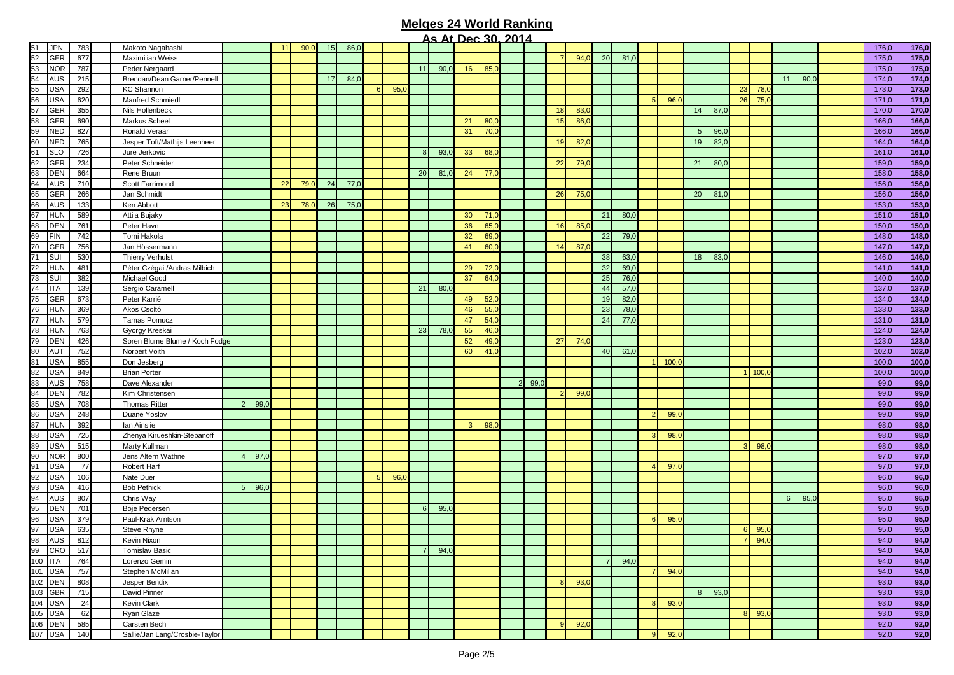|         |            |     |                                |                |      |    |     |    |      |      |          |      |                 | <u>ALIJEC JU ZUIZ</u> |                |                 |                |      |    |      |                |      |                |      |    |      |    |      |       |       |
|---------|------------|-----|--------------------------------|----------------|------|----|-----|----|------|------|----------|------|-----------------|-----------------------|----------------|-----------------|----------------|------|----|------|----------------|------|----------------|------|----|------|----|------|-------|-------|
| 51      | <b>JPN</b> | 783 | Makoto Nagahashi               |                |      | 11 | 90, | 15 | 86,0 |      |          |      |                 |                       |                |                 |                |      |    |      |                |      |                |      |    |      |    |      | 176,0 | 176,0 |
| 52      | <b>GER</b> | 677 | Maximilian Weiss               |                |      |    |     |    |      |      |          |      |                 |                       |                |                 |                | 94,0 | 20 | 81,0 |                |      |                |      |    |      |    |      | 175,0 | 175,0 |
| 53      | <b>NOR</b> | 787 | Peder Nergaard                 |                |      |    |     |    |      |      | 11       | 90,0 | 16              | 85,0                  |                |                 |                |      |    |      |                |      |                |      |    |      |    |      | 175,0 | 175,0 |
| 54      | <b>AUS</b> | 215 | Brendan/Dean Garner/Pennell    |                |      |    |     | 17 | 84,0 |      |          |      |                 |                       |                |                 |                |      |    |      |                |      |                |      |    |      | 11 | 90,0 | 174,0 | 174,0 |
| 55      | <b>USA</b> | 292 | <b>KC Shannon</b>              |                |      |    |     |    |      | 95,0 |          |      |                 |                       |                |                 |                |      |    |      |                |      |                |      | 23 | 78,0 |    |      | 173,0 | 173,0 |
| 56      | <b>USA</b> | 620 | Manfred Schmiedl               |                |      |    |     |    |      |      |          |      |                 |                       |                |                 |                |      |    |      | $\overline{5}$ | 96,  |                |      | 26 | 75,  |    |      | 171,0 | 171,0 |
| 57      | <b>GER</b> | 355 | Nils Hollenbeck                |                |      |    |     |    |      |      |          |      |                 |                       |                |                 | 18             | 83,0 |    |      |                |      | 14             | 87,C |    |      |    |      | 170,0 | 170,0 |
| 58      | GER        | 690 | Markus Scheel                  |                |      |    |     |    |      |      |          |      | 21              | 80,0                  |                |                 | 15             | 86,  |    |      |                |      |                |      |    |      |    |      | 166,0 | 166,0 |
| 59      | <b>NED</b> | 827 | Ronald Veraar                  |                |      |    |     |    |      |      |          |      | 31              | 70,0                  |                |                 |                |      |    |      |                |      | 5 <sup>5</sup> | 96,0 |    |      |    |      | 166,0 | 166,0 |
| 60      | <b>NED</b> | 765 | Jesper Toft/Mathijs Leenheer   |                |      |    |     |    |      |      |          |      |                 |                       |                |                 | 19             | 82,  |    |      |                |      | 19             | 82,0 |    |      |    |      | 164,0 | 164,0 |
| 61      | <b>SLO</b> | 726 | Jure Jerkovic                  |                |      |    |     |    |      |      | 8        | 93,0 | 33              | 68,0                  |                |                 |                |      |    |      |                |      |                |      |    |      |    |      | 161,0 | 161,0 |
| 62      | <b>GER</b> | 234 | Peter Schneider                |                |      |    |     |    |      |      |          |      |                 |                       |                |                 | 22             | 79,0 |    |      |                |      | 21             | 80,0 |    |      |    |      | 159,0 | 159,0 |
| 63      | <b>DEN</b> | 664 | Rene Bruun                     |                |      |    |     |    |      |      | 20       | 81,0 | 24              | 77,0                  |                |                 |                |      |    |      |                |      |                |      |    |      |    |      | 158,0 | 158,0 |
| 64      | <b>AUS</b> | 710 | Scott Farrimond                |                |      | 22 | 79, | 24 | 77,0 |      |          |      |                 |                       |                |                 |                |      |    |      |                |      |                |      |    |      |    |      | 156,0 | 156,0 |
| 65      | <b>GER</b> | 266 | Jan Schmidt                    |                |      |    |     |    |      |      |          |      |                 |                       |                |                 | 26             | 75,0 |    |      |                |      | 20             | 81,  |    |      |    |      | 156,0 | 156,0 |
| 66      | <b>AUS</b> | 133 | Ken Abbott                     |                |      | 23 | 78, | 26 | 75,0 |      |          |      |                 |                       |                |                 |                |      |    |      |                |      |                |      |    |      |    |      | 153,0 | 153,0 |
| 67      | <b>HUN</b> | 589 | Attila Bujaky                  |                |      |    |     |    |      |      |          |      | 30 <sup>1</sup> | 71,0                  |                |                 |                |      | 21 | 80,0 |                |      |                |      |    |      |    |      | 151,0 | 151,0 |
|         | <b>DEN</b> | 761 |                                |                |      |    |     |    |      |      |          |      | 36              | 65,0                  |                |                 | 16             | 85,0 |    |      |                |      |                |      |    |      |    |      | 150,0 | 150,0 |
| 68      |            | 742 | Peter Havn                     |                |      |    |     |    |      |      |          |      |                 |                       |                |                 |                |      |    |      |                |      |                |      |    |      |    |      |       |       |
| 69      | <b>FIN</b> |     | Tomi Hakola                    |                |      |    |     |    |      |      |          |      | 32              | 69,0                  |                |                 |                |      | 22 | 79,0 |                |      |                |      |    |      |    |      | 148,0 | 148,0 |
| 70      | <b>GER</b> | 756 | Jan Hössermann                 |                |      |    |     |    |      |      |          |      | 41              | 60,C                  |                |                 | 14             | 87,  |    |      |                |      |                |      |    |      |    |      | 147,0 | 147,0 |
| 71      | SUI        | 530 | <b>Thierry Verhulst</b>        |                |      |    |     |    |      |      |          |      |                 |                       |                |                 |                |      | 38 | 63,0 |                |      | 18             | 83,0 |    |      |    |      | 146,0 | 146,0 |
| 72      | <b>HUN</b> | 481 | Péter Czégai /Andras Milbich   |                |      |    |     |    |      |      |          |      | 29              | 72,0                  |                |                 |                |      | 32 | 69,0 |                |      |                |      |    |      |    |      | 141,0 | 141,0 |
| 73      | SUI        | 382 | Michael Good                   |                |      |    |     |    |      |      |          |      | 37              | 64,0                  |                |                 |                |      | 25 | 76,0 |                |      |                |      |    |      |    |      | 140,0 | 140,0 |
| 74      | <b>ITA</b> | 139 | Sergio Caramell                |                |      |    |     |    |      |      | 21       | 80,0 |                 |                       |                |                 |                |      | 44 | 57,0 |                |      |                |      |    |      |    |      | 137,0 | 137,0 |
| 75      | <b>GER</b> | 673 | Peter Karrié                   |                |      |    |     |    |      |      |          |      | 49              | 52,0                  |                |                 |                |      | 19 | 82,0 |                |      |                |      |    |      |    |      | 134,0 | 134,0 |
| 76      | <b>HUN</b> | 369 | Akos Csoltó                    |                |      |    |     |    |      |      |          |      | 46              | 55,0                  |                |                 |                |      | 23 | 78,0 |                |      |                |      |    |      |    |      | 133,0 | 133,0 |
| 77      | <b>HUN</b> | 579 | <b>Tamas Pomucz</b>            |                |      |    |     |    |      |      |          |      | 47              | 54,0                  |                |                 |                |      | 24 | 77,0 |                |      |                |      |    |      |    |      | 131,0 | 131,0 |
| 78      | <b>HUN</b> | 763 | Gyorgy Kreskai                 |                |      |    |     |    |      |      | 23       | 78,0 | 55              | 46,0                  |                |                 |                |      |    |      |                |      |                |      |    |      |    |      | 124,0 | 124,0 |
| 79      | <b>DEN</b> | 426 | Soren Blume Blume / Koch Fodge |                |      |    |     |    |      |      |          |      | 52              | 49,0                  |                |                 | 27             | 74(  |    |      |                |      |                |      |    |      |    |      | 123,0 | 123,0 |
| 80      | <b>AUT</b> | 752 | Norbert Voith                  |                |      |    |     |    |      |      |          |      | 60              | 41,0                  |                |                 |                |      | 40 | 61,0 |                |      |                |      |    |      |    |      | 102,0 | 102,0 |
| 81      | <b>USA</b> | 855 | Don Jesberg                    |                |      |    |     |    |      |      |          |      |                 |                       |                |                 |                |      |    |      | $\mathbf{1}$   | 100, |                |      |    |      |    |      | 100,0 | 100,0 |
| 82      | <b>USA</b> | 849 | <b>Brian Porter</b>            |                |      |    |     |    |      |      |          |      |                 |                       |                |                 |                |      |    |      |                |      |                |      |    | 100, |    |      | 100,0 | 100,0 |
| 83      | <b>AUS</b> | 758 | Dave Alexander                 |                |      |    |     |    |      |      |          |      |                 |                       | $\overline{2}$ | 99 <sub>1</sub> |                |      |    |      |                |      |                |      |    |      |    |      | 99,0  | 99,0  |
| 84      | <b>DEN</b> | 782 | Kim Christensen                |                |      |    |     |    |      |      |          |      |                 |                       |                |                 | 2              | 99,0 |    |      |                |      |                |      |    |      |    |      | 99,0  | 99,0  |
| 85      | <b>USA</b> | 708 | <b>Thomas Ritter</b>           | $\overline{2}$ | 99,0 |    |     |    |      |      |          |      |                 |                       |                |                 |                |      |    |      |                |      |                |      |    |      |    |      | 99,0  | 99,0  |
| 86      | <b>USA</b> | 248 | Duane Yoslov                   |                |      |    |     |    |      |      |          |      |                 |                       |                |                 |                |      |    |      | $\mathcal{P}$  | 99,  |                |      |    |      |    |      | 99,0  | 99,0  |
| 87      | <b>HUN</b> | 392 | Ian Ainslie                    |                |      |    |     |    |      |      |          |      | 3               | 98,0                  |                |                 |                |      |    |      |                |      |                |      |    |      |    |      | 98,0  | 98,0  |
| 88      | <b>USA</b> | 725 | Zhenya Kirueshkin-Stepanoff    |                |      |    |     |    |      |      |          |      |                 |                       |                |                 |                |      |    |      |                | 98,  |                |      |    |      |    |      | 98,0  | 98,0  |
| 89      | <b>USA</b> | 515 | Marty Kullman                  |                |      |    |     |    |      |      |          |      |                 |                       |                |                 |                |      |    |      |                |      |                |      |    | 98,0 |    |      | 98,0  | 98,0  |
| 90      | <b>NOR</b> |     |                                |                |      |    |     |    |      |      |          |      |                 |                       |                |                 |                |      |    |      |                |      |                |      |    |      |    |      | 97,0  | 97,0  |
|         |            | 800 | Jens Altern Wathne             |                | 97,0 |    |     |    |      |      |          |      |                 |                       |                |                 |                |      |    |      |                |      |                |      |    |      |    |      |       | 97,0  |
| 91      | <b>USA</b> | 77  | <b>Robert Harf</b>             |                |      |    |     |    |      |      |          |      |                 |                       |                |                 |                |      |    |      |                | 97,  |                |      |    |      |    |      | 97,0  |       |
| 92      | <b>USA</b> | 106 | Nate Duer                      |                |      |    |     |    |      | 96,0 |          |      |                 |                       |                |                 |                |      |    |      |                |      |                |      |    |      |    |      | 96,0  | 96,0  |
| 93      | <b>USA</b> | 416 | <b>Bob Pethick</b>             | 5              | 96,0 |    |     |    |      |      |          |      |                 |                       |                |                 |                |      |    |      |                |      |                |      |    |      |    |      | 96,0  | 96,0  |
| 94      | <b>AUS</b> | 807 | Chris Way                      |                |      |    |     |    |      |      |          |      |                 |                       |                |                 |                |      |    |      |                |      |                |      |    |      |    | 95,0 | 95,0  | 95,0  |
| 95      | <b>DEN</b> | 701 | Boje Pedersen                  |                |      |    |     |    |      |      |          | 95,0 |                 |                       |                |                 |                |      |    |      |                |      |                |      |    |      |    |      | 95,0  | 95,0  |
| 96      | <b>USA</b> | 379 | Paul-Krak Arntson              |                |      |    |     |    |      |      |          |      |                 |                       |                |                 |                |      |    |      | 6              | 95,  |                |      |    |      |    |      | 95,0  | 95,0  |
| 97      | <b>USA</b> | 635 | Steve Rhyne                    |                |      |    |     |    |      |      |          |      |                 |                       |                |                 |                |      |    |      |                |      |                |      | -6 | 95,  |    |      | 95,0  | 95,0  |
| 98      | <b>AUS</b> | 812 | Kevin Nixon                    |                |      |    |     |    |      |      |          |      |                 |                       |                |                 |                |      |    |      |                |      |                |      |    | 94,0 |    |      | 94,0  | 94,0  |
|         | 99 CRO     | 517 | Tomislav Basic                 |                |      |    |     |    |      |      | <b>7</b> | 94,0 |                 |                       |                |                 |                |      |    |      |                |      |                |      |    |      |    |      | 94,0  | 94,0  |
| 100 ITA |            | 764 | Lorenzo Gemini                 |                |      |    |     |    |      |      |          |      |                 |                       |                |                 |                |      |    | 94,0 |                |      |                |      |    |      |    |      | 94,0  | 94,0  |
| 101 USA |            | 757 | Stephen McMillan               |                |      |    |     |    |      |      |          |      |                 |                       |                |                 |                |      |    |      | 7              | 94,0 |                |      |    |      |    |      | 94,0  | 94,0  |
|         | 102 DEN    | 808 | Jesper Bendix                  |                |      |    |     |    |      |      |          |      |                 |                       |                |                 | 8 <sup>1</sup> | 93,0 |    |      |                |      |                |      |    |      |    |      | 93,0  | 93,0  |
|         | 103 GBR    | 715 | David Pinner                   |                |      |    |     |    |      |      |          |      |                 |                       |                |                 |                |      |    |      |                |      | 8 <sup>1</sup> | 93,0 |    |      |    |      | 93,0  | 93,0  |
|         | 104 USA    | 24  | Kevin Clark                    |                |      |    |     |    |      |      |          |      |                 |                       |                |                 |                |      |    |      | 8 <sup>1</sup> | 93,  |                |      |    |      |    |      | 93,0  | 93,0  |
|         | 105 USA    | 62  | Ryan Glaze                     |                |      |    |     |    |      |      |          |      |                 |                       |                |                 |                |      |    |      |                |      |                |      | ε  | 93,0 |    |      | 93,0  | 93,0  |
|         | 106 DEN    | 585 | Carsten Bech                   |                |      |    |     |    |      |      |          |      |                 |                       |                |                 |                | 92,0 |    |      |                |      |                |      |    |      |    |      | 92,0  | 92,0  |
|         | 107 USA    | 140 | Sallie/Jan Lang/Crosbie-Taylor |                |      |    |     |    |      |      |          |      |                 |                       |                |                 |                |      |    |      | 9              | 92,0 |                |      |    |      |    |      | 92,0  | 92,0  |
|         |            |     |                                |                |      |    |     |    |      |      |          |      |                 |                       |                |                 |                |      |    |      |                |      |                |      |    |      |    |      |       |       |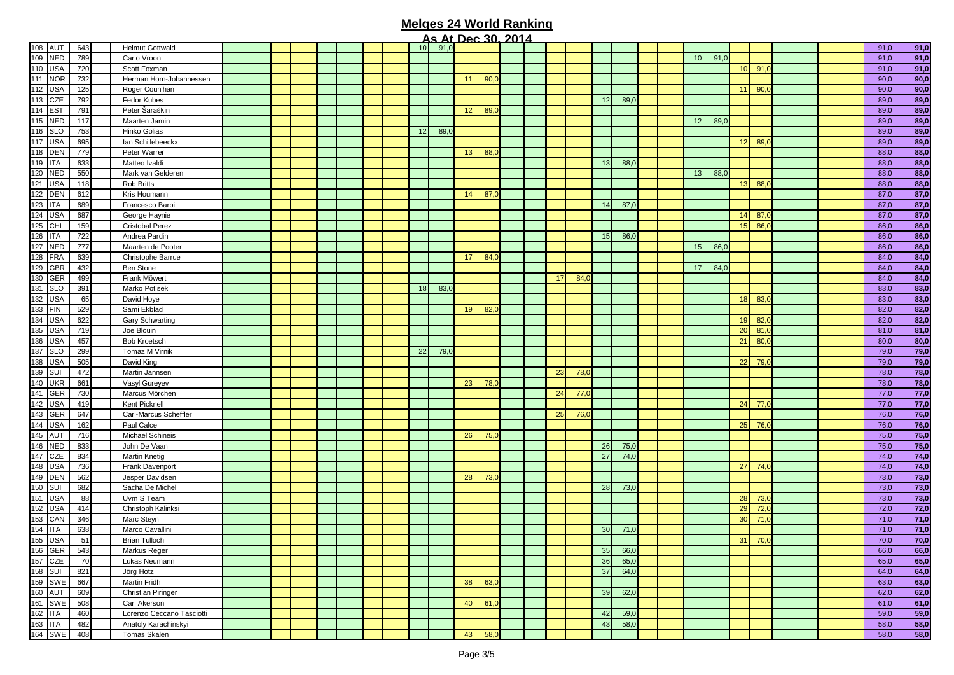|           |     |                           |  |  |  |  |    |      |    | <u> Jerman zura</u> |  |    |      |    |      |                 |      |    |      |  |      |             |
|-----------|-----|---------------------------|--|--|--|--|----|------|----|---------------------|--|----|------|----|------|-----------------|------|----|------|--|------|-------------|
| 108 AUT   | 643 | <b>Helmut Gottwald</b>    |  |  |  |  | 10 | 91,0 |    |                     |  |    |      |    |      |                 |      |    |      |  | 91,0 | 91,0        |
| 109 NED   | 789 | Carlo Vroon               |  |  |  |  |    |      |    |                     |  |    |      |    |      | 10              | 91,0 |    |      |  | 91,0 | 91,0        |
| 110 USA   | 720 | Scott Foxman              |  |  |  |  |    |      |    |                     |  |    |      |    |      |                 |      | 10 | 91,  |  | 91,0 | 91,0        |
| 111 NOR   | 732 | Herman Horn-Johannessen   |  |  |  |  |    |      | 11 | 90,0                |  |    |      |    |      |                 |      |    |      |  | 90,0 | 90,0        |
| 112 USA   | 125 | Roger Counihan            |  |  |  |  |    |      |    |                     |  |    |      |    |      |                 |      | 11 | 90,  |  | 90,0 | 90,0        |
| $113$ CZE | 792 | Fedor Kubes               |  |  |  |  |    |      |    |                     |  |    |      | 12 | 89,0 |                 |      |    |      |  | 89,0 | 89,0        |
| 114 EST   | 791 | Peter Šaraškin            |  |  |  |  |    |      | 12 | 89,0                |  |    |      |    |      |                 |      |    |      |  | 89,0 | 89,0        |
| 115 NED   | 117 | Maarten Jamin             |  |  |  |  |    |      |    |                     |  |    |      |    |      | 12              | 89,C |    |      |  | 89,0 | 89,0        |
| 116 SLO   | 753 | Hinko Golias              |  |  |  |  | 12 | 89,0 |    |                     |  |    |      |    |      |                 |      |    |      |  | 89,0 | 89,0        |
| 117 USA   | 695 | lan Schillebeeckx         |  |  |  |  |    |      |    |                     |  |    |      |    |      |                 |      | 12 | 89,0 |  | 89,0 | 89,0        |
| 118 DEN   | 779 | Peter Warrer              |  |  |  |  |    |      | 13 | 88,C                |  |    |      |    |      |                 |      |    |      |  | 88,0 | 88,0        |
| 119 ITA   | 633 | Matteo Ivaldi             |  |  |  |  |    |      |    |                     |  |    |      | 13 | 88,0 |                 |      |    |      |  | 88,0 | 88,0        |
| 120 NED   | 550 | Mark van Gelderen         |  |  |  |  |    |      |    |                     |  |    |      |    |      | 13 <sup>1</sup> | 88,C |    |      |  | 88,0 | 88,0        |
| 121 USA   | 118 | Rob Britts                |  |  |  |  |    |      |    |                     |  |    |      |    |      |                 |      | 13 | 88,  |  | 88,0 | 88,0        |
| 122 DEN   | 612 | Kris Houmann              |  |  |  |  |    |      | 14 | 87,0                |  |    |      |    |      |                 |      |    |      |  | 87,0 | 87,0        |
| 123 ITA   | 689 | Francesco Barbi           |  |  |  |  |    |      |    |                     |  |    |      | 14 | 87,0 |                 |      |    |      |  | 87,0 | 87,0        |
| 124 USA   | 687 | George Haynie             |  |  |  |  |    |      |    |                     |  |    |      |    |      |                 |      | 14 | 87.  |  | 87,0 | 87,0        |
| 125 CHI   | 159 |                           |  |  |  |  |    |      |    |                     |  |    |      |    |      |                 |      | 15 |      |  |      | 86,0        |
|           |     | <b>Cristobal Perez</b>    |  |  |  |  |    |      |    |                     |  |    |      |    |      |                 |      |    | 86,  |  | 86,0 |             |
| 126 ITA   | 722 | Andrea Pardini            |  |  |  |  |    |      |    |                     |  |    |      | 15 | 86,0 |                 |      |    |      |  | 86,0 | 86,0        |
| 127 NED   | 777 | Maarten de Pooter         |  |  |  |  |    |      |    |                     |  |    |      |    |      | 15              | 86,C |    |      |  | 86,0 | 86,0        |
| 128 FRA   | 639 | Christophe Barrue         |  |  |  |  |    |      | 17 | 84(                 |  |    |      |    |      |                 |      |    |      |  | 84,0 | 84,0        |
| 129 GBR   | 432 | <b>Ben Stone</b>          |  |  |  |  |    |      |    |                     |  |    |      |    |      | 17              | 84,0 |    |      |  | 84,0 | 84,0        |
| 130 GER   | 499 | Frank Möwert              |  |  |  |  |    |      |    |                     |  | 17 | 84,  |    |      |                 |      |    |      |  | 84,0 | 84,0        |
| 131 SLO   | 391 | Marko Potisek             |  |  |  |  | 18 | 83,0 |    |                     |  |    |      |    |      |                 |      |    |      |  | 83,0 | 83,0        |
| 132 USA   | 65  | David Hoye                |  |  |  |  |    |      |    |                     |  |    |      |    |      |                 |      | 18 | 83,  |  | 83,0 | 83,0        |
| 133 FIN   | 529 | Sami Ekblad               |  |  |  |  |    |      | 19 | 82,0                |  |    |      |    |      |                 |      |    |      |  | 82,0 | 82,0        |
| 134 USA   | 622 | Gary Schwarting           |  |  |  |  |    |      |    |                     |  |    |      |    |      |                 |      | 19 | 82(  |  | 82,0 | 82,0        |
| 135 USA   | 719 | Joe Blouin                |  |  |  |  |    |      |    |                     |  |    |      |    |      |                 |      | 20 | 81.  |  | 81,0 | 81,0        |
| 136 USA   | 457 | <b>Bob Kroetsch</b>       |  |  |  |  |    |      |    |                     |  |    |      |    |      |                 |      | 21 | 80,  |  | 80,0 | 80,0        |
| 137 SLO   | 299 | Tomaz M Virnik            |  |  |  |  | 22 | 79,0 |    |                     |  |    |      |    |      |                 |      |    |      |  | 79,0 | 79,0        |
| 138 USA   | 505 | David King                |  |  |  |  |    |      |    |                     |  |    |      |    |      |                 |      | 22 | 79,0 |  | 79,0 | 79,0        |
| 139 SUI   | 472 | Martin Jannsen            |  |  |  |  |    |      |    |                     |  | 23 | 78,0 |    |      |                 |      |    |      |  | 78,0 | 78,0        |
| 140 UKR   | 661 | Vasyl Gureyev             |  |  |  |  |    |      | 23 | 78,0                |  |    |      |    |      |                 |      |    |      |  | 78,0 | 78,0        |
| 141 GER   | 730 | Marcus Mörchen            |  |  |  |  |    |      |    |                     |  | 24 | 77,0 |    |      |                 |      |    |      |  | 77,0 | 77,0        |
| 142 USA   | 419 | Kent Picknell             |  |  |  |  |    |      |    |                     |  |    |      |    |      |                 |      | 24 | 77,  |  | 77,0 | 77,0        |
| 143 GER   | 647 | Carl-Marcus Scheffler     |  |  |  |  |    |      |    |                     |  | 25 | 76,0 |    |      |                 |      |    |      |  | 76,0 | 76,0        |
| 144 USA   | 162 | Paul Calce                |  |  |  |  |    |      |    |                     |  |    |      |    |      |                 |      | 25 | 76,  |  | 76,0 | 76,0        |
| 145 AUT   | 716 | Michael Schineis          |  |  |  |  |    |      | 26 | 75,0                |  |    |      |    |      |                 |      |    |      |  | 75,0 | 75,0        |
| 146 NED   | 833 | John De Vaan              |  |  |  |  |    |      |    |                     |  |    |      | 26 | 75,0 |                 |      |    |      |  | 75,0 | 75,0        |
| 147 CZE   | 834 |                           |  |  |  |  |    |      |    |                     |  |    |      | 27 | 74,0 |                 |      |    |      |  |      | 74,0        |
|           |     | <b>Martin Knetig</b>      |  |  |  |  |    |      |    |                     |  |    |      |    |      |                 |      |    |      |  | 74,0 | 74,0        |
| 148 USA   | 736 | Frank Davenport           |  |  |  |  |    |      |    |                     |  |    |      |    |      |                 |      | 27 | 74(  |  | 74,0 | 73,0        |
| 149 DEN   | 562 | Jesper Davidsen           |  |  |  |  |    |      | 28 | 73,0                |  |    |      |    |      |                 |      |    |      |  | 73,0 |             |
| 150 SUI   | 682 | Sacha De Micheli          |  |  |  |  |    |      |    |                     |  |    |      | 28 | 73,0 |                 |      |    |      |  | 73,0 | 73,0        |
| 151 USA   | 88  | Uvm S Team                |  |  |  |  |    |      |    |                     |  |    |      |    |      |                 |      | 28 | 73,  |  | 73,0 | 73,0        |
| 152 USA   | 414 | Christoph Kalinksi        |  |  |  |  |    |      |    |                     |  |    |      |    |      |                 |      | 29 | 72,  |  | 72,0 | 72,0        |
| 153 CAN   | 346 | Marc Steyn                |  |  |  |  |    |      |    |                     |  |    |      |    |      |                 |      | 30 | 71,  |  | 71,0 | 71,0        |
| 154 ITA   | 638 | Marco Cavallini           |  |  |  |  |    |      |    |                     |  |    |      | 30 | 71,0 |                 |      |    |      |  | 71,0 | 71,0        |
| 155 USA   | 51  | <b>Brian Tulloch</b>      |  |  |  |  |    |      |    |                     |  |    |      |    |      |                 |      | 31 | 70,0 |  | 70,0 | 70,0        |
| 156 GER   | 543 | Markus Reger              |  |  |  |  |    |      |    |                     |  |    |      | 35 | 66,0 |                 |      |    |      |  | 66,0 | <u>66,0</u> |
| 157 CZE   | 70  | Lukas Neumann             |  |  |  |  |    |      |    |                     |  |    |      | 36 | 65,0 |                 |      |    |      |  | 65,0 | 65,0        |
| 158 SUI   | 821 | Jörg Hotz                 |  |  |  |  |    |      |    |                     |  |    |      | 37 | 64,0 |                 |      |    |      |  | 64,0 | 64,0        |
| 159 SWE   | 667 | Martin Fridh              |  |  |  |  |    |      | 38 | 63,0                |  |    |      |    |      |                 |      |    |      |  | 63,0 | 63,0        |
| 160 AUT   | 609 | Christian Piringer        |  |  |  |  |    |      |    |                     |  |    |      | 39 | 62,0 |                 |      |    |      |  | 62,0 | 62,0        |
| 161 SWE   | 508 | Carl Akerson              |  |  |  |  |    |      | 40 | 61,0                |  |    |      |    |      |                 |      |    |      |  | 61,0 | 61,0        |
| 162 ITA   | 460 | Lorenzo Ceccano Tasciotti |  |  |  |  |    |      |    |                     |  |    |      | 42 | 59,0 |                 |      |    |      |  | 59,0 | 59,0        |
| 163 ITA   | 482 | Anatoly Karachinskyi      |  |  |  |  |    |      |    |                     |  |    |      | 43 | 58,0 |                 |      |    |      |  | 58,0 | 58,0        |
| 164 SWE   | 408 | Tomas Skalen              |  |  |  |  |    |      | 43 | 58,0                |  |    |      |    |      |                 |      |    |      |  | 58,0 | 58,0        |
|           |     |                           |  |  |  |  |    |      |    |                     |  |    |      |    |      |                 |      |    |      |  |      |             |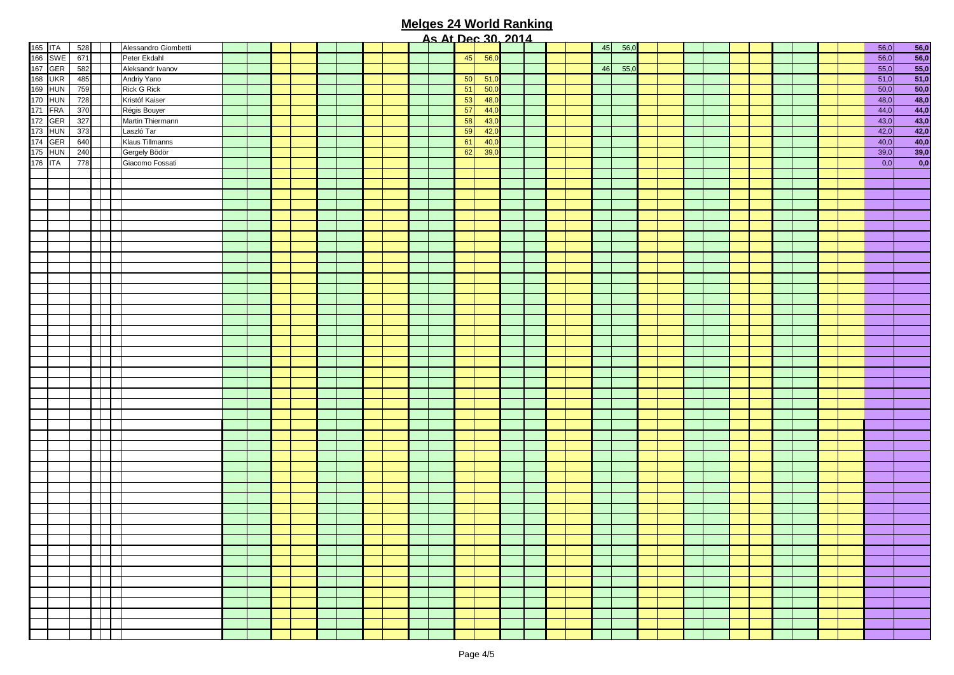|         |         |     |                      |  |  |  |  | <u>AS ALUEC 30, ZUTA</u> |    |      |  |  |    |      |  |  |  |  |  |      |                                                                                                                          |
|---------|---------|-----|----------------------|--|--|--|--|--------------------------|----|------|--|--|----|------|--|--|--|--|--|------|--------------------------------------------------------------------------------------------------------------------------|
| 165 ITA |         | 528 | Alessandro Giombetti |  |  |  |  |                          |    |      |  |  | 45 | 56,0 |  |  |  |  |  | 56,0 | 56,0                                                                                                                     |
|         | 166 SWE | 671 | Peter Ekdahl         |  |  |  |  |                          | 45 | 56,0 |  |  |    |      |  |  |  |  |  | 56,0 | $\begin{array}{r} 56,0 \\ 55,0 \\ 51,0 \\ 48,0 \\ 44,0 \\ 43,0 \\ \hline 42,0 \\ 40,0 \\ 39,0 \\ \hline 0,0 \end{array}$ |
| 167 GER |         | 582 | Aleksandr Ivanov     |  |  |  |  |                          |    |      |  |  | 46 | 55,0 |  |  |  |  |  | 55,0 |                                                                                                                          |
| 168 UKR |         | 485 | Andriy Yano          |  |  |  |  |                          | 50 | 51,0 |  |  |    |      |  |  |  |  |  | 51,0 |                                                                                                                          |
| 169 HUN |         | 759 | <b>Rick G Rick</b>   |  |  |  |  |                          | 51 | 50,0 |  |  |    |      |  |  |  |  |  | 50,0 |                                                                                                                          |
| 170 HUN |         | 728 | Kristóf Kaiser       |  |  |  |  |                          | 53 | 48,0 |  |  |    |      |  |  |  |  |  | 48,0 |                                                                                                                          |
| 171 FRA |         | 370 | Régis Bouyer         |  |  |  |  |                          | 57 | 44,0 |  |  |    |      |  |  |  |  |  | 44,0 |                                                                                                                          |
| 172 GER |         | 327 | Martin Thiermann     |  |  |  |  |                          | 58 | 43,0 |  |  |    |      |  |  |  |  |  | 43,0 |                                                                                                                          |
| 173 HUN |         | 373 | Laszló Tar           |  |  |  |  |                          | 59 | 42,0 |  |  |    |      |  |  |  |  |  | 42,0 |                                                                                                                          |
|         |         |     |                      |  |  |  |  |                          | 61 |      |  |  |    |      |  |  |  |  |  |      |                                                                                                                          |
| 174 GER |         | 640 | Klaus Tillmanns      |  |  |  |  |                          |    | 40,0 |  |  |    |      |  |  |  |  |  | 40,0 |                                                                                                                          |
| 175 HUN |         | 240 | Gergely Bödör        |  |  |  |  |                          | 62 | 39,0 |  |  |    |      |  |  |  |  |  | 39,0 |                                                                                                                          |
| 176 ITA |         | 778 | Giacomo Fossati      |  |  |  |  |                          |    |      |  |  |    |      |  |  |  |  |  | 0,0  |                                                                                                                          |
|         |         |     |                      |  |  |  |  |                          |    |      |  |  |    |      |  |  |  |  |  |      |                                                                                                                          |
|         |         |     |                      |  |  |  |  |                          |    |      |  |  |    |      |  |  |  |  |  |      |                                                                                                                          |
|         |         |     |                      |  |  |  |  |                          |    |      |  |  |    |      |  |  |  |  |  |      |                                                                                                                          |
|         |         |     |                      |  |  |  |  |                          |    |      |  |  |    |      |  |  |  |  |  |      |                                                                                                                          |
|         |         |     |                      |  |  |  |  |                          |    |      |  |  |    |      |  |  |  |  |  |      |                                                                                                                          |
|         |         |     |                      |  |  |  |  |                          |    |      |  |  |    |      |  |  |  |  |  |      |                                                                                                                          |
|         |         |     |                      |  |  |  |  |                          |    |      |  |  |    |      |  |  |  |  |  |      |                                                                                                                          |
|         |         |     |                      |  |  |  |  |                          |    |      |  |  |    |      |  |  |  |  |  |      |                                                                                                                          |
|         |         |     |                      |  |  |  |  |                          |    |      |  |  |    |      |  |  |  |  |  |      |                                                                                                                          |
|         |         |     |                      |  |  |  |  |                          |    |      |  |  |    |      |  |  |  |  |  |      |                                                                                                                          |
|         |         |     |                      |  |  |  |  |                          |    |      |  |  |    |      |  |  |  |  |  |      |                                                                                                                          |
|         |         |     |                      |  |  |  |  |                          |    |      |  |  |    |      |  |  |  |  |  |      |                                                                                                                          |
|         |         |     |                      |  |  |  |  |                          |    |      |  |  |    |      |  |  |  |  |  |      |                                                                                                                          |
|         |         |     |                      |  |  |  |  |                          |    |      |  |  |    |      |  |  |  |  |  |      |                                                                                                                          |
|         |         |     |                      |  |  |  |  |                          |    |      |  |  |    |      |  |  |  |  |  |      |                                                                                                                          |
|         |         |     |                      |  |  |  |  |                          |    |      |  |  |    |      |  |  |  |  |  |      |                                                                                                                          |
|         |         |     |                      |  |  |  |  |                          |    |      |  |  |    |      |  |  |  |  |  |      |                                                                                                                          |
|         |         |     |                      |  |  |  |  |                          |    |      |  |  |    |      |  |  |  |  |  |      |                                                                                                                          |
|         |         |     |                      |  |  |  |  |                          |    |      |  |  |    |      |  |  |  |  |  |      |                                                                                                                          |
|         |         |     |                      |  |  |  |  |                          |    |      |  |  |    |      |  |  |  |  |  |      |                                                                                                                          |
|         |         |     |                      |  |  |  |  |                          |    |      |  |  |    |      |  |  |  |  |  |      |                                                                                                                          |
|         |         |     |                      |  |  |  |  |                          |    |      |  |  |    |      |  |  |  |  |  |      |                                                                                                                          |
|         |         |     |                      |  |  |  |  |                          |    |      |  |  |    |      |  |  |  |  |  |      |                                                                                                                          |
|         |         |     |                      |  |  |  |  |                          |    |      |  |  |    |      |  |  |  |  |  |      |                                                                                                                          |
|         |         |     |                      |  |  |  |  |                          |    |      |  |  |    |      |  |  |  |  |  |      |                                                                                                                          |
|         |         |     |                      |  |  |  |  |                          |    |      |  |  |    |      |  |  |  |  |  |      |                                                                                                                          |
|         |         |     |                      |  |  |  |  |                          |    |      |  |  |    |      |  |  |  |  |  |      |                                                                                                                          |
|         |         |     |                      |  |  |  |  |                          |    |      |  |  |    |      |  |  |  |  |  |      |                                                                                                                          |
|         |         |     |                      |  |  |  |  |                          |    |      |  |  |    |      |  |  |  |  |  |      |                                                                                                                          |
|         |         |     |                      |  |  |  |  |                          |    |      |  |  |    |      |  |  |  |  |  |      |                                                                                                                          |
|         |         |     |                      |  |  |  |  |                          |    |      |  |  |    |      |  |  |  |  |  |      |                                                                                                                          |
|         |         |     |                      |  |  |  |  |                          |    |      |  |  |    |      |  |  |  |  |  |      |                                                                                                                          |
|         |         |     |                      |  |  |  |  |                          |    |      |  |  |    |      |  |  |  |  |  |      |                                                                                                                          |
|         |         |     |                      |  |  |  |  |                          |    |      |  |  |    |      |  |  |  |  |  |      |                                                                                                                          |
|         |         |     |                      |  |  |  |  |                          |    |      |  |  |    |      |  |  |  |  |  |      |                                                                                                                          |
|         |         |     |                      |  |  |  |  |                          |    |      |  |  |    |      |  |  |  |  |  |      |                                                                                                                          |
|         |         |     |                      |  |  |  |  |                          |    |      |  |  |    |      |  |  |  |  |  |      |                                                                                                                          |
|         |         |     |                      |  |  |  |  |                          |    |      |  |  |    |      |  |  |  |  |  |      |                                                                                                                          |
|         |         |     |                      |  |  |  |  |                          |    |      |  |  |    |      |  |  |  |  |  |      |                                                                                                                          |
|         |         |     |                      |  |  |  |  |                          |    |      |  |  |    |      |  |  |  |  |  |      |                                                                                                                          |
|         |         |     |                      |  |  |  |  |                          |    |      |  |  |    |      |  |  |  |  |  |      |                                                                                                                          |
|         |         |     |                      |  |  |  |  |                          |    |      |  |  |    |      |  |  |  |  |  |      |                                                                                                                          |
|         |         |     |                      |  |  |  |  |                          |    |      |  |  |    |      |  |  |  |  |  |      |                                                                                                                          |
|         |         |     |                      |  |  |  |  |                          |    |      |  |  |    |      |  |  |  |  |  |      |                                                                                                                          |
|         |         |     |                      |  |  |  |  |                          |    |      |  |  |    |      |  |  |  |  |  |      |                                                                                                                          |
|         |         |     |                      |  |  |  |  |                          |    |      |  |  |    |      |  |  |  |  |  |      |                                                                                                                          |
|         |         |     |                      |  |  |  |  |                          |    |      |  |  |    |      |  |  |  |  |  |      |                                                                                                                          |
|         |         |     |                      |  |  |  |  |                          |    |      |  |  |    |      |  |  |  |  |  |      |                                                                                                                          |